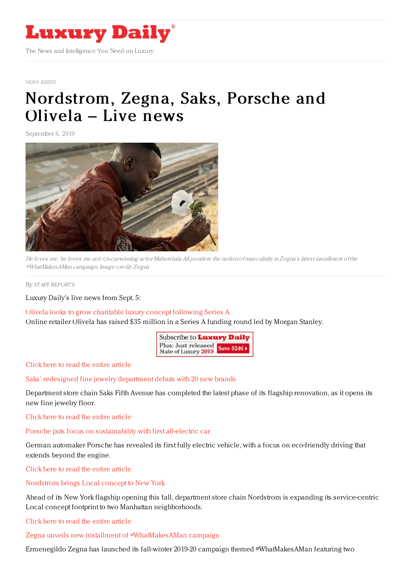

NEWS [BRIEFS](https://www.luxurydaily.com/category/resources/news-briefs)

## [Nordstrom,](https://www.luxurydaily.com/nordstrom-zegna-saks-porsche-and-olivela-live-news/) Zegna, Saks, Porsche and Olivela – Live news

September 6, 2019



He loves me, he loves me not: Oscar-winning actor Mahershala Ali ponders the notion of masculinity in Zegna's latest installment of the #WhatMakesAMan campaign. Image credit: Zegna

By STAFF [REPORT](file:///author/staff-reports) S

Luxury Daily's live news from Sept. 5:

Olivela looks to grow [charitable](https://www.luxurydaily.com/olivela-looks-to-grow-charitable-luxury-concept-following-series-a/) luxury concept following Series A Online retailer Olivela has raised \$35 million in a Series A funding round led by Morgan Stanley.

> Subscribe to Luxury Daily Plus: Just released **Save \$2461** State of Luxury 2019

Click here to read the entire [article](https://www.luxurydaily.com/olivela-looks-to-grow-charitable-luxury-concept-following-series-a/)

Saks' redesigned fine jewelry [department](https://www.luxurydaily.com/saks-redesigned-fine-jewelry-department-debuts-with-20-new-brands/) debuts with 20 new brands

Department store chain Saks Fifth Avenue has completed the latest phase of its flagship renovation, as it opens its new fine jewelry floor.

Click here to read the entire [article](https://www.luxurydaily.com/saks-redesigned-fine-jewelry-department-debuts-with-20-new-brands/)

Porsche puts focus on [sustainability](https://www.luxurydaily.com/porsche-puts-focus-on-sustainability-with-first-all-electric-car/) with first all-electric car

German automaker Porsche has revealed its first fully electric vehicle, with a focus on eco-friendly driving that extends beyond the engine.

Click here to read the entire [article](https://www.luxurydaily.com/porsche-puts-focus-on-sustainability-with-first-all-electric-car/)

[Nordstrom](https://www.luxurydaily.com/nordstrom-brings-local-concept-to-new-york/) brings Local concept to New York

Ahead of its New York flagship opening this fall, department store chain Nordstrom is expanding its service-centric Local concept footprint to two Manhattan neighborhoods.

Click here to read the entire [article](https://www.luxurydaily.com/nordstrom-brings-local-concept-to-new-york/)

Zegna unveils new installment of [#WhatMakesAMan](https://www.luxurydaily.com/zegna-unveils-new-installment-of-whatmakesaman-campaign/) campaign

Ermenegildo Zegna has launched its fall-winter 2019-20 campaign themed #WhatMakesAMan featuring two